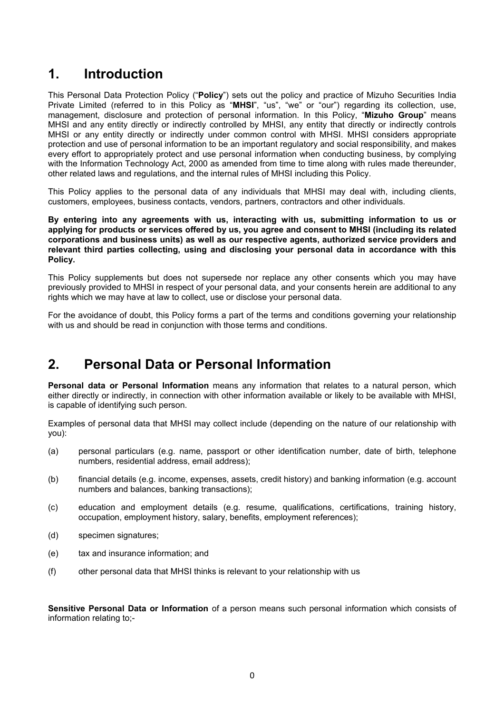# **1. Introduction**

This Personal Data Protection Policy ("**Policy**") sets out the policy and practice of Mizuho Securities India Private Limited (referred to in this Policy as "**MHSI**", "us", "we" or "our") regarding its collection, use, management, disclosure and protection of personal information. In this Policy, "**Mizuho Group**" means MHSI and any entity directly or indirectly controlled by MHSI, any entity that directly or indirectly controls MHSI or any entity directly or indirectly under common control with MHSI. MHSI considers appropriate protection and use of personal information to be an important regulatory and social responsibility, and makes every effort to appropriately protect and use personal information when conducting business, by complying with the Information Technology Act, 2000 as amended from time to time along with rules made thereunder, other related laws and regulations, and the internal rules of MHSI including this Policy.

This Policy applies to the personal data of any individuals that MHSI may deal with, including clients, customers, employees, business contacts, vendors, partners, contractors and other individuals.

**By entering into any agreements with us, interacting with us, submitting information to us or applying for products or services offered by us, you agree and consent to MHSI (including its related corporations and business units) as well as our respective agents, authorized service providers and relevant third parties collecting, using and disclosing your personal data in accordance with this Policy.** 

This Policy supplements but does not supersede nor replace any other consents which you may have previously provided to MHSI in respect of your personal data, and your consents herein are additional to any rights which we may have at law to collect, use or disclose your personal data.

For the avoidance of doubt, this Policy forms a part of the terms and conditions governing your relationship with us and should be read in conjunction with those terms and conditions.

## **2. Personal Data or Personal Information**

**Personal data or Personal Information** means any information that relates to a natural person, which either directly or indirectly, in connection with other information available or likely to be available with MHSI, is capable of identifying such person.

Examples of personal data that MHSI may collect include (depending on the nature of our relationship with you):

- (a) personal particulars (e.g. name, passport or other identification number, date of birth, telephone numbers, residential address, email address);
- (b) financial details (e.g. income, expenses, assets, credit history) and banking information (e.g. account numbers and balances, banking transactions);
- (c) education and employment details (e.g. resume, qualifications, certifications, training history, occupation, employment history, salary, benefits, employment references);
- (d) specimen signatures;
- (e) tax and insurance information; and
- (f) other personal data that MHSI thinks is relevant to your relationship with us

**Sensitive Personal Data or Information** of a person means such personal information which consists of information relating to;-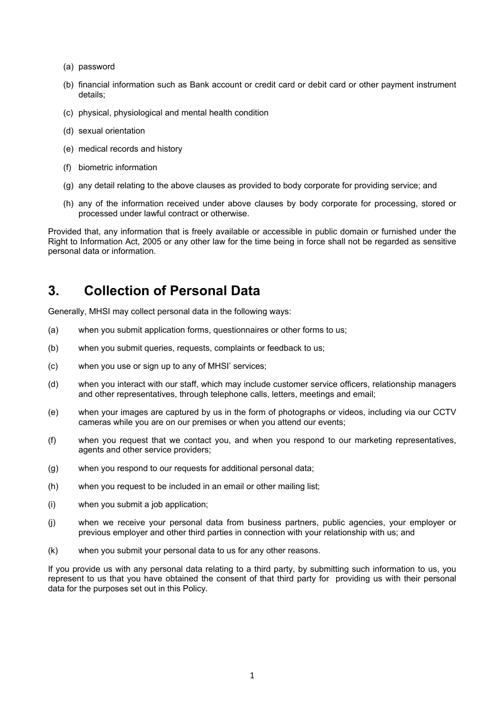- (a) password
- (b) financial information such as Bank account or credit card or debit card or other payment instrument details;
- (c) physical, physiological and mental health condition
- (d) sexual orientation
- (e) medical records and history
- (f) biometric information
- (g) any detail relating to the above clauses as provided to body corporate for providing service; and
- (h) any of the information received under above clauses by body corporate for processing, stored or processed under lawful contract or otherwise.

Provided that, any information that is freely available or accessible in public domain or furnished under the Right to Information Act, 2005 or any other law for the time being in force shall not be regarded as sensitive personal data or information.

## **3. Collection of Personal Data**

Generally, MHSI may collect personal data in the following ways:

- (a) when you submit application forms, questionnaires or other forms to us;
- (b) when you submit queries, requests, complaints or feedback to us;
- (c) when you use or sign up to any of MHSI' services;
- (d) when you interact with our staff, which may include customer service officers, relationship managers and other representatives, through telephone calls, letters, meetings and email;
- (e) when your images are captured by us in the form of photographs or videos, including via our CCTV cameras while you are on our premises or when you attend our events;
- (f) when you request that we contact you, and when you respond to our marketing representatives, agents and other service providers;
- (g) when you respond to our requests for additional personal data;
- (h) when you request to be included in an email or other mailing list;
- (i) when you submit a job application;
- (j) when we receive your personal data from business partners, public agencies, your employer or previous employer and other third parties in connection with your relationship with us; and
- (k) when you submit your personal data to us for any other reasons.

If you provide us with any personal data relating to a third party, by submitting such information to us, you represent to us that you have obtained the consent of that third party for providing us with their personal data for the purposes set out in this Policy.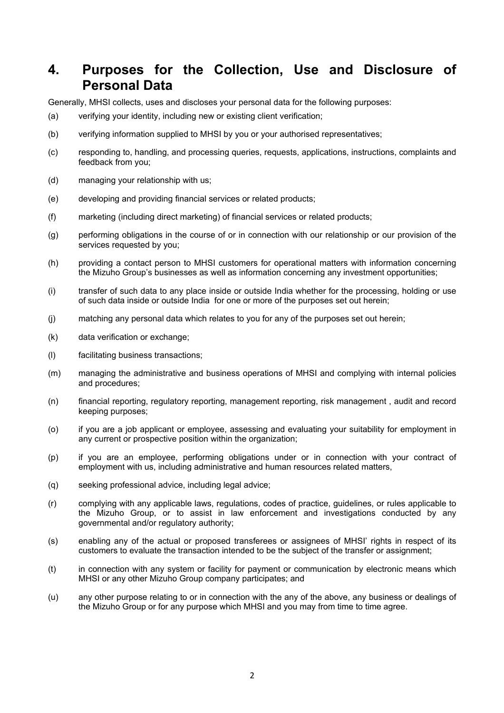## **4. Purposes for the Collection, Use and Disclosure of Personal Data**

Generally, MHSI collects, uses and discloses your personal data for the following purposes:

- (a) verifying your identity, including new or existing client verification;
- (b) verifying information supplied to MHSI by you or your authorised representatives;
- (c) responding to, handling, and processing queries, requests, applications, instructions, complaints and feedback from you;
- (d) managing your relationship with us;
- (e) developing and providing financial services or related products;
- (f) marketing (including direct marketing) of financial services or related products;
- (g) performing obligations in the course of or in connection with our relationship or our provision of the services requested by you;
- (h) providing a contact person to MHSI customers for operational matters with information concerning the Mizuho Group's businesses as well as information concerning any investment opportunities;
- (i) transfer of such data to any place inside or outside India whether for the processing, holding or use of such data inside or outside India for one or more of the purposes set out herein;
- (j) matching any personal data which relates to you for any of the purposes set out herein;
- (k) data verification or exchange;
- (l) facilitating business transactions;
- (m) managing the administrative and business operations of MHSI and complying with internal policies and procedures;
- (n) financial reporting, regulatory reporting, management reporting, risk management , audit and record keeping purposes;
- (o) if you are a job applicant or employee, assessing and evaluating your suitability for employment in any current or prospective position within the organization;
- (p) if you are an employee, performing obligations under or in connection with your contract of employment with us, including administrative and human resources related matters,
- (q) seeking professional advice, including legal advice;
- (r) complying with any applicable laws, regulations, codes of practice, guidelines, or rules applicable to the Mizuho Group, or to assist in law enforcement and investigations conducted by any governmental and/or regulatory authority;
- (s) enabling any of the actual or proposed transferees or assignees of MHSI' rights in respect of its customers to evaluate the transaction intended to be the subject of the transfer or assignment;
- (t) in connection with any system or facility for payment or communication by electronic means which MHSI or any other Mizuho Group company participates; and
- (u) any other purpose relating to or in connection with the any of the above, any business or dealings of the Mizuho Group or for any purpose which MHSI and you may from time to time agree.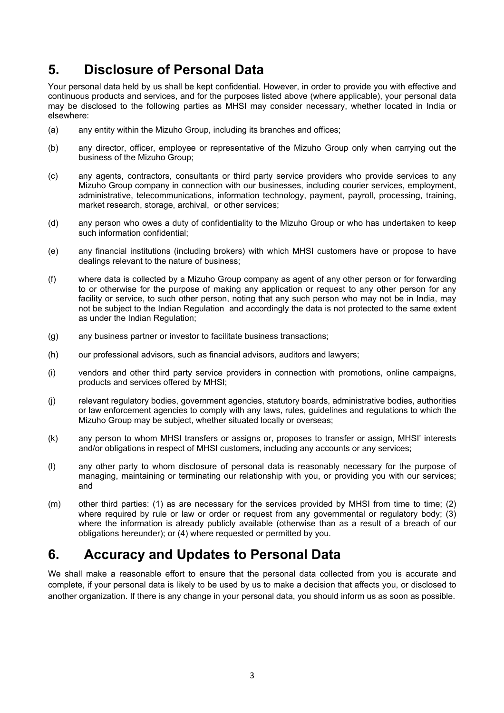# **5. Disclosure of Personal Data**

Your personal data held by us shall be kept confidential. However, in order to provide you with effective and continuous products and services, and for the purposes listed above (where applicable), your personal data may be disclosed to the following parties as MHSI may consider necessary, whether located in India or elsewhere:

- (a) any entity within the Mizuho Group, including its branches and offices;
- (b) any director, officer, employee or representative of the Mizuho Group only when carrying out the business of the Mizuho Group;
- (c) any agents, contractors, consultants or third party service providers who provide services to any Mizuho Group company in connection with our businesses, including courier services, employment, administrative, telecommunications, information technology, payment, payroll, processing, training, market research, storage, archival, or other services;
- (d) any person who owes a duty of confidentiality to the Mizuho Group or who has undertaken to keep such information confidential;
- (e) any financial institutions (including brokers) with which MHSI customers have or propose to have dealings relevant to the nature of business;
- (f) where data is collected by a Mizuho Group company as agent of any other person or for forwarding to or otherwise for the purpose of making any application or request to any other person for any facility or service, to such other person, noting that any such person who may not be in India, may not be subject to the Indian Regulation and accordingly the data is not protected to the same extent as under the Indian Regulation;
- (g) any business partner or investor to facilitate business transactions;
- (h) our professional advisors, such as financial advisors, auditors and lawyers;
- (i) vendors and other third party service providers in connection with promotions, online campaigns, products and services offered by MHSI;
- (j) relevant regulatory bodies, government agencies, statutory boards, administrative bodies, authorities or law enforcement agencies to comply with any laws, rules, guidelines and regulations to which the Mizuho Group may be subject, whether situated locally or overseas;
- (k) any person to whom MHSI transfers or assigns or, proposes to transfer or assign, MHSI' interests and/or obligations in respect of MHSI customers, including any accounts or any services;
- (l) any other party to whom disclosure of personal data is reasonably necessary for the purpose of managing, maintaining or terminating our relationship with you, or providing you with our services; and
- (m) other third parties: (1) as are necessary for the services provided by MHSI from time to time; (2) where required by rule or law or order or request from any governmental or regulatory body; (3) where the information is already publicly available (otherwise than as a result of a breach of our obligations hereunder); or (4) where requested or permitted by you.

# **6. Accuracy and Updates to Personal Data**

We shall make a reasonable effort to ensure that the personal data collected from you is accurate and complete, if your personal data is likely to be used by us to make a decision that affects you, or disclosed to another organization. If there is any change in your personal data, you should inform us as soon as possible.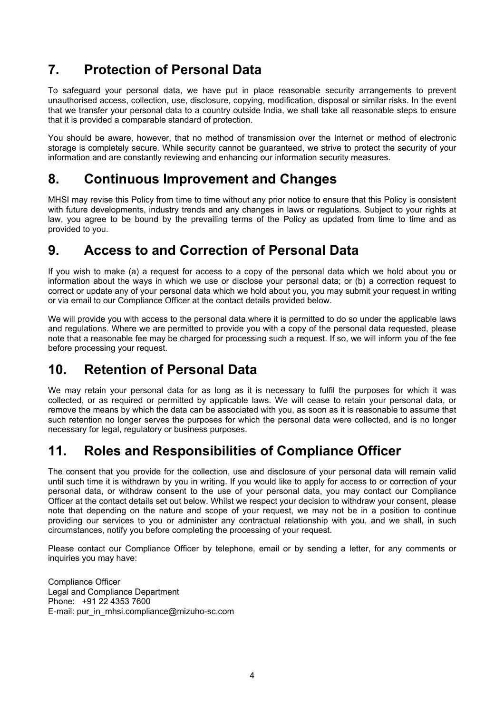# **7. Protection of Personal Data**

To safeguard your personal data, we have put in place reasonable security arrangements to prevent unauthorised access, collection, use, disclosure, copying, modification, disposal or similar risks. In the event that we transfer your personal data to a country outside India, we shall take all reasonable steps to ensure that it is provided a comparable standard of protection.

You should be aware, however, that no method of transmission over the Internet or method of electronic storage is completely secure. While security cannot be guaranteed, we strive to protect the security of your information and are constantly reviewing and enhancing our information security measures.

## **8. Continuous Improvement and Changes**

MHSI may revise this Policy from time to time without any prior notice to ensure that this Policy is consistent with future developments, industry trends and any changes in laws or regulations. Subject to your rights at law, you agree to be bound by the prevailing terms of the Policy as updated from time to time and as provided to you.

# **9. Access to and Correction of Personal Data**

If you wish to make (a) a request for access to a copy of the personal data which we hold about you or information about the ways in which we use or disclose your personal data; or (b) a correction request to correct or update any of your personal data which we hold about you, you may submit your request in writing or via email to our Compliance Officer at the contact details provided below.

We will provide you with access to the personal data where it is permitted to do so under the applicable laws and regulations. Where we are permitted to provide you with a copy of the personal data requested, please note that a reasonable fee may be charged for processing such a request. If so, we will inform you of the fee before processing your request.

# **10. Retention of Personal Data**

We may retain your personal data for as long as it is necessary to fulfil the purposes for which it was collected, or as required or permitted by applicable laws. We will cease to retain your personal data, or remove the means by which the data can be associated with you, as soon as it is reasonable to assume that such retention no longer serves the purposes for which the personal data were collected, and is no longer necessary for legal, regulatory or business purposes.

# **11. Roles and Responsibilities of Compliance Officer**

The consent that you provide for the collection, use and disclosure of your personal data will remain valid until such time it is withdrawn by you in writing. If you would like to apply for access to or correction of your personal data, or withdraw consent to the use of your personal data, you may contact our Compliance Officer at the contact details set out below. Whilst we respect your decision to withdraw your consent, please note that depending on the nature and scope of your request, we may not be in a position to continue providing our services to you or administer any contractual relationship with you, and we shall, in such circumstances, notify you before completing the processing of your request.

Please contact our Compliance Officer by telephone, email or by sending a letter, for any comments or inquiries you may have:

Compliance Officer Legal and Compliance Department Phone: +91 22 4353 7600 E-mail: pur\_in\_mhsi.compliance@mizuho-sc.com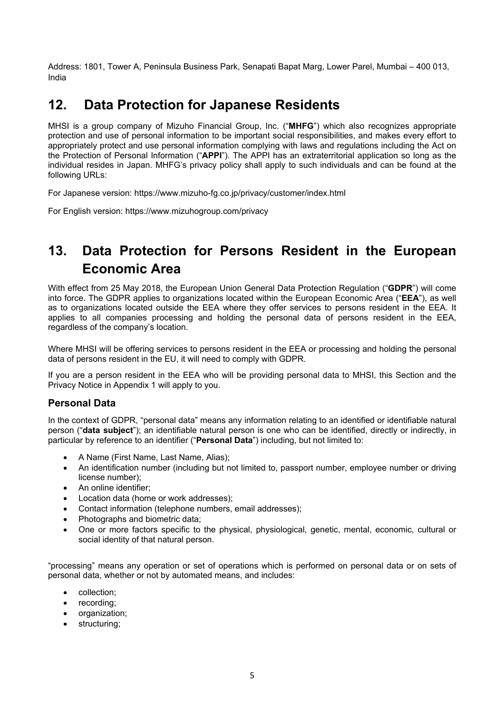Address: 1801, Tower A, Peninsula Business Park, Senapati Bapat Marg, Lower Parel, Mumbai – 400 013, India

## **12. Data Protection for Japanese Residents**

MHSI is a group company of Mizuho Financial Group, Inc. ("**MHFG**") which also recognizes appropriate protection and use of personal information to be important social responsibilities, and makes every effort to appropriately protect and use personal information complying with laws and regulations including the Act on the Protection of Personal Information ("**APPI**"). The APPI has an extraterritorial application so long as the individual resides in Japan. MHFG's privacy policy shall apply to such individuals and can be found at the following URLs:

For Japanese version: https://www.mizuho-fg.co.jp/privacy/customer/index.html

For English version: https://www.mizuhogroup.com/privacy

# **13. Data Protection for Persons Resident in the European Economic Area**

With effect from 25 May 2018, the European Union General Data Protection Regulation ("**GDPR**") will come into force. The GDPR applies to organizations located within the European Economic Area ("**EEA**"), as well as to organizations located outside the EEA where they offer services to persons resident in the EEA. It applies to all companies processing and holding the personal data of persons resident in the EEA, regardless of the company's location.

Where MHSI will be offering services to persons resident in the EEA or processing and holding the personal data of persons resident in the EU, it will need to comply with GDPR.

If you are a person resident in the EEA who will be providing personal data to MHSI, this Section and the Privacy Notice in Appendix 1 will apply to you.

### **Personal Data**

In the context of GDPR, "personal data" means any information relating to an identified or identifiable natural person ("**data subject**"); an identifiable natural person is one who can be identified, directly or indirectly, in particular by reference to an identifier ("**Personal Data**") including, but not limited to:

- A Name (First Name, Last Name, Alias);
- An identification number (including but not limited to, passport number, employee number or driving license number);
- An online identifier:
- Location data (home or work addresses);
- Contact information (telephone numbers, email addresses):
- Photographs and biometric data:
- One or more factors specific to the physical, physiological, genetic, mental, economic, cultural or social identity of that natural person.

"processing" means any operation or set of operations which is performed on personal data or on sets of personal data, whether or not by automated means, and includes:

- collection:
- recording:
- organization;
- structuring;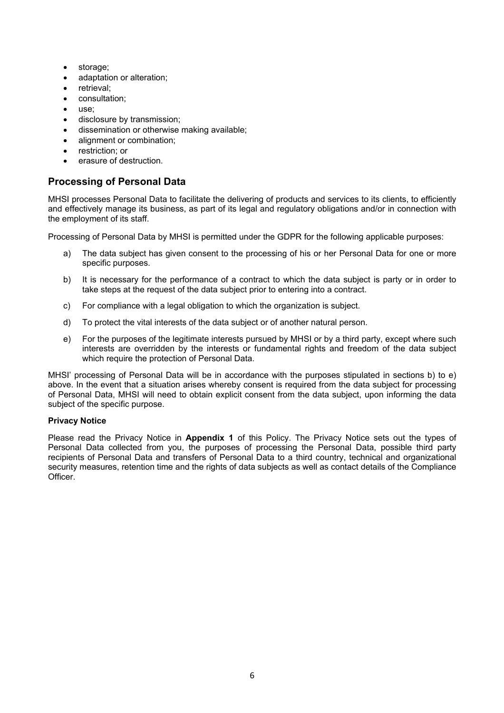- storage;
- adaptation or alteration;
- retrieval;
- consultation;
- use;
- disclosure by transmission;
- dissemination or otherwise making available;
- alignment or combination;
- restriction; or
- erasure of destruction.

## **Processing of Personal Data**

MHSI processes Personal Data to facilitate the delivering of products and services to its clients, to efficiently and effectively manage its business, as part of its legal and regulatory obligations and/or in connection with the employment of its staff.

Processing of Personal Data by MHSI is permitted under the GDPR for the following applicable purposes:

- a) The data subject has given consent to the processing of his or her Personal Data for one or more specific purposes.
- b) It is necessary for the performance of a contract to which the data subject is party or in order to take steps at the request of the data subject prior to entering into a contract.
- c) For compliance with a legal obligation to which the organization is subject.
- d) To protect the vital interests of the data subject or of another natural person.
- e) For the purposes of the legitimate interests pursued by MHSI or by a third party, except where such interests are overridden by the interests or fundamental rights and freedom of the data subject which require the protection of Personal Data.

MHSI' processing of Personal Data will be in accordance with the purposes stipulated in sections b) to e) above. In the event that a situation arises whereby consent is required from the data subject for processing of Personal Data, MHSI will need to obtain explicit consent from the data subject, upon informing the data subject of the specific purpose.

#### **Privacy Notice**

Please read the Privacy Notice in **Appendix 1** of this Policy. The Privacy Notice sets out the types of Personal Data collected from you, the purposes of processing the Personal Data, possible third party recipients of Personal Data and transfers of Personal Data to a third country, technical and organizational security measures, retention time and the rights of data subjects as well as contact details of the Compliance Officer.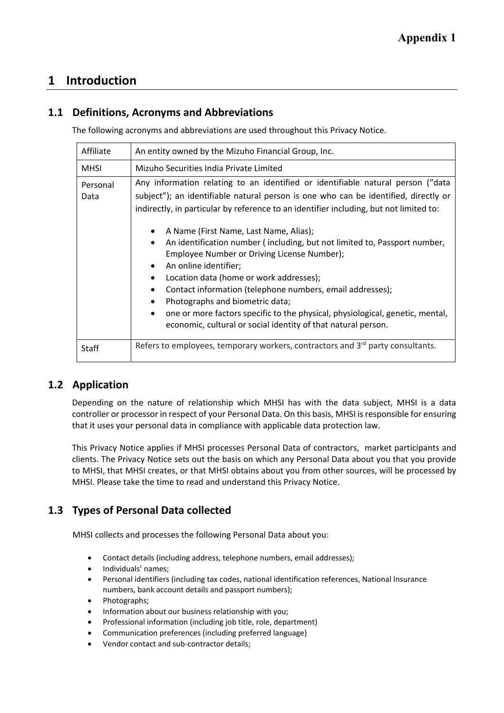## **1 Introduction**

## **1.1 Definitions, Acronyms and Abbreviations**

The following acronyms and abbreviations are used throughout this Privacy Notice.

| Affiliate        | An entity owned by the Mizuho Financial Group, Inc.                                                                                                                                                                                                                                                                                                                                                                                                                                                                                                                                                                                                                                                                                                                                                                           |
|------------------|-------------------------------------------------------------------------------------------------------------------------------------------------------------------------------------------------------------------------------------------------------------------------------------------------------------------------------------------------------------------------------------------------------------------------------------------------------------------------------------------------------------------------------------------------------------------------------------------------------------------------------------------------------------------------------------------------------------------------------------------------------------------------------------------------------------------------------|
| <b>MHSI</b>      | Mizuho Securities India Private Limited                                                                                                                                                                                                                                                                                                                                                                                                                                                                                                                                                                                                                                                                                                                                                                                       |
| Personal<br>Data | Any information relating to an identified or identifiable natural person ("data<br>subject"); an identifiable natural person is one who can be identified, directly or<br>indirectly, in particular by reference to an identifier including, but not limited to:<br>A Name (First Name, Last Name, Alias);<br>An identification number (including, but not limited to, Passport number,<br>$\bullet$<br>Employee Number or Driving License Number);<br>An online identifier;<br>$\bullet$<br>Location data (home or work addresses);<br>$\bullet$<br>Contact information (telephone numbers, email addresses);<br>$\bullet$<br>Photographs and biometric data;<br>one or more factors specific to the physical, physiological, genetic, mental,<br>$\bullet$<br>economic, cultural or social identity of that natural person. |
| Staff            | Refers to employees, temporary workers, contractors and $3rd$ party consultants.                                                                                                                                                                                                                                                                                                                                                                                                                                                                                                                                                                                                                                                                                                                                              |

## **1.2 Application**

Depending on the nature of relationship which MHSI has with the data subject, MHSI is a data controller or processor in respect of your Personal Data. On this basis, MHSI is responsible for ensuring that it uses your personal data in compliance with applicable data protection law.

This Privacy Notice applies if MHSI processes Personal Data of contractors, market participants and clients. The Privacy Notice sets out the basis on which any Personal Data about you that you provide to MHSI, that MHSI creates, or that MHSI obtains about you from other sources, will be processed by MHSI. Please take the time to read and understand this Privacy Notice.

## **1.3 Types of Personal Data collected**

MHSI collects and processes the following Personal Data about you:

- Contact details (including address, telephone numbers, email addresses);
- Individuals' names;
- Personal identifiers (including tax codes, national identification references, National Insurance numbers, bank account details and passport numbers);
- Photographs;
- Information about our business relationship with you;
- Professional information (including job title, role, department)
- Communication preferences (including preferred language)
- Vendor contact and sub‐contractor details;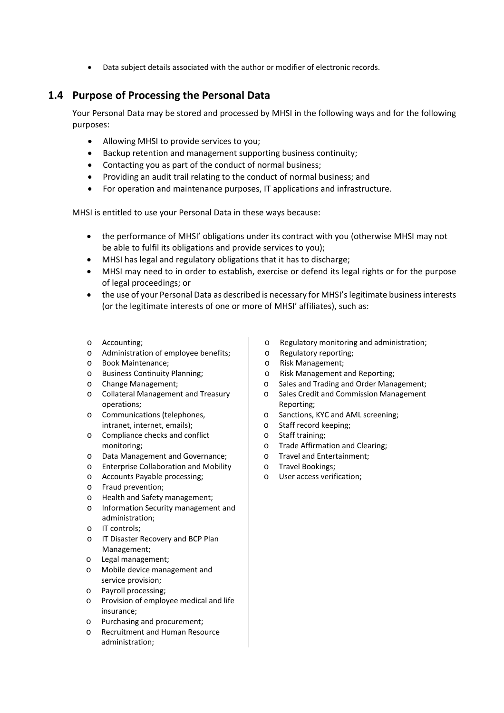Data subject details associated with the author or modifier of electronic records.

## **1.4 Purpose of Processing the Personal Data**

Your Personal Data may be stored and processed by MHSI in the following ways and for the following purposes:

- Allowing MHSI to provide services to you;
- Backup retention and management supporting business continuity;
- Contacting you as part of the conduct of normal business;
- Providing an audit trail relating to the conduct of normal business; and
- For operation and maintenance purposes, IT applications and infrastructure.

MHSI is entitled to use your Personal Data in these ways because:

- the performance of MHSI' obligations under its contract with you (otherwise MHSI may not be able to fulfil its obligations and provide services to you);
- MHSI has legal and regulatory obligations that it has to discharge;
- MHSI may need to in order to establish, exercise or defend its legal rights or for the purpose of legal proceedings; or
- the use of your Personal Data as described is necessary for MHSI's legitimate business interests (or the legitimate interests of one or more of MHSI' affiliates), such as:
- o Accounting;
- o Administration of employee benefits;
- o Book Maintenance;
- o Business Continuity Planning;
- o Change Management;
- o Collateral Management and Treasury operations;
- o Communications (telephones, intranet, internet, emails);
- o Compliance checks and conflict monitoring;
- o Data Management and Governance;
- o Enterprise Collaboration and Mobility
- o Accounts Payable processing;
- o Fraud prevention;
- o Health and Safety management;
- o Information Security management and administration;
- o IT controls;
- o IT Disaster Recovery and BCP Plan Management;
- o Legal management;
- o Mobile device management and service provision;
- o Payroll processing;
- o Provision of employee medical and life insurance;
- o Purchasing and procurement;
- o Recruitment and Human Resource administration;
- o Regulatory monitoring and administration;
- o Regulatory reporting;
- o Risk Management;
- o Risk Management and Reporting;
- o Sales and Trading and Order Management;
- o Sales Credit and Commission Management Reporting;
- o Sanctions, KYC and AML screening;
- o Staff record keeping;
- o Staff training;
- o Trade Affirmation and Clearing;
- o Travel and Entertainment;
- o Travel Bookings;
- o User access verification;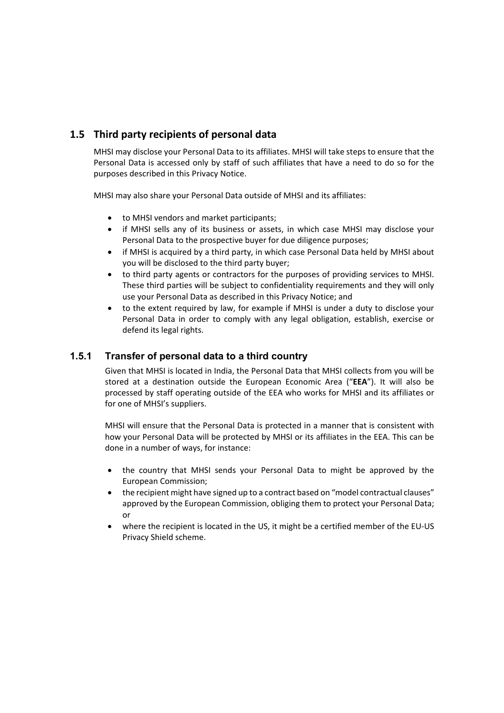## **1.5 Third party recipients of personal data**

MHSI may disclose your Personal Data to its affiliates. MHSI will take steps to ensure that the Personal Data is accessed only by staff of such affiliates that have a need to do so for the purposes described in this Privacy Notice.

MHSI may also share your Personal Data outside of MHSI and its affiliates:

- to MHSI vendors and market participants;
- if MHSI sells any of its business or assets, in which case MHSI may disclose your Personal Data to the prospective buyer for due diligence purposes;
- if MHSI is acquired by a third party, in which case Personal Data held by MHSI about you will be disclosed to the third party buyer;
- to third party agents or contractors for the purposes of providing services to MHSI. These third parties will be subject to confidentiality requirements and they will only use your Personal Data as described in this Privacy Notice; and
- to the extent required by law, for example if MHSI is under a duty to disclose your Personal Data in order to comply with any legal obligation, establish, exercise or defend its legal rights.

### **1.5.1 Transfer of personal data to a third country**

Given that MHSI is located in India, the Personal Data that MHSI collects from you will be stored at a destination outside the European Economic Area ("**EEA**"). It will also be processed by staff operating outside of the EEA who works for MHSI and its affiliates or for one of MHSI's suppliers.

MHSI will ensure that the Personal Data is protected in a manner that is consistent with how your Personal Data will be protected by MHSI or its affiliates in the EEA. This can be done in a number of ways, for instance:

- the country that MHSI sends vour Personal Data to might be approved by the European Commission;
- the recipient might have signed up to a contract based on "model contractual clauses" approved by the European Commission, obliging them to protect your Personal Data; or
- where the recipient is located in the US, it might be a certified member of the EU-US Privacy Shield scheme.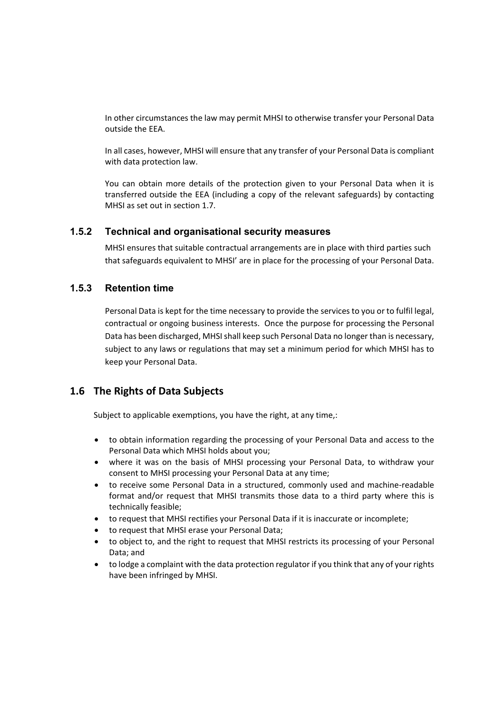In other circumstances the law may permit MHSI to otherwise transfer your Personal Data outside the EEA.

In all cases, however, MHSI will ensure that any transfer of your Personal Data is compliant with data protection law.

You can obtain more details of the protection given to your Personal Data when it is transferred outside the EEA (including a copy of the relevant safeguards) by contacting MHSI as set out in section 1.7.

#### **1.5.2 Technical and organisational security measures**

MHSI ensures that suitable contractual arrangements are in place with third parties such that safeguards equivalent to MHSI' are in place for the processing of your Personal Data.

#### **1.5.3 Retention time**

Personal Data is kept for the time necessary to provide the services to you or to fulfil legal, contractual or ongoing business interests. Once the purpose for processing the Personal Data has been discharged, MHSI shall keep such Personal Data no longer than is necessary, subject to any laws or regulations that may set a minimum period for which MHSI has to keep your Personal Data.

### **1.6 The Rights of Data Subjects**

Subject to applicable exemptions, you have the right, at any time,:

- to obtain information regarding the processing of your Personal Data and access to the Personal Data which MHSI holds about you;
- where it was on the basis of MHSI processing your Personal Data, to withdraw your consent to MHSI processing your Personal Data at any time;
- to receive some Personal Data in a structured, commonly used and machine-readable format and/or request that MHSI transmits those data to a third party where this is technically feasible;
- to request that MHSI rectifies your Personal Data if it is inaccurate or incomplete;
- to request that MHSI erase your Personal Data;
- to object to, and the right to request that MHSI restricts its processing of your Personal Data; and
- to lodge a complaint with the data protection regulator if you think that any of your rights have been infringed by MHSI.